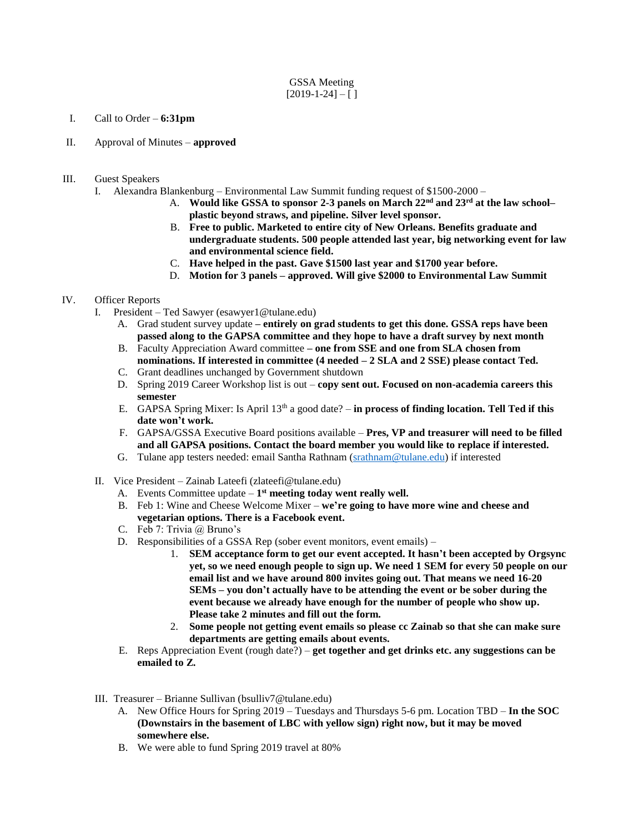## GSSA Meeting  $[2019-1-24] - [ ]$

## I. Call to Order – **6:31pm**

- II. Approval of Minutes **approved**
- III. Guest Speakers
	- I. Alexandra Blankenburg Environmental Law Summit funding request of \$1500-2000
		- A. **Would like GSSA to sponsor 2-3 panels on March 22nd and 23rd at the law school– plastic beyond straws, and pipeline. Silver level sponsor.**
		- B. **Free to public. Marketed to entire city of New Orleans. Benefits graduate and undergraduate students. 500 people attended last year, big networking event for law and environmental science field.**
		- C. **Have helped in the past. Gave \$1500 last year and \$1700 year before.**
		- D. **Motion for 3 panels – approved. Will give \$2000 to Environmental Law Summit**

## IV. Officer Reports

- I. President Ted Sawyer (esawyer1@tulane.edu)
	- A. Grad student survey update **– entirely on grad students to get this done. GSSA reps have been passed along to the GAPSA committee and they hope to have a draft survey by next month**
	- B. Faculty Appreciation Award committee **– one from SSE and one from SLA chosen from nominations. If interested in committee (4 needed – 2 SLA and 2 SSE) please contact Ted.**
	- C. Grant deadlines unchanged by Government shutdown
	- D. Spring 2019 Career Workshop list is out **copy sent out. Focused on non-academia careers this semester**
	- E. GAPSA Spring Mixer: Is April 13th a good date? **in process of finding location. Tell Ted if this date won't work.**
	- F. GAPSA/GSSA Executive Board positions available **Pres, VP and treasurer will need to be filled and all GAPSA positions. Contact the board member you would like to replace if interested.**
	- G. Tulane app testers needed: email Santha Rathnam [\(srathnam@tulane.edu\)](mailto:srathnam@tulane.edu) if interested
- II. Vice President Zainab Lateefi (zlateefi@tulane.edu)
	- A. Events Committee update  $-1<sup>st</sup>$  meeting today went really well.
	- B. Feb 1: Wine and Cheese Welcome Mixer **we're going to have more wine and cheese and vegetarian options. There is a Facebook event.**
	- C. Feb 7: Trivia @ Bruno's
	- D. Responsibilities of a GSSA Rep (sober event monitors, event emails)
		- 1. **SEM acceptance form to get our event accepted. It hasn't been accepted by Orgsync yet, so we need enough people to sign up. We need 1 SEM for every 50 people on our email list and we have around 800 invites going out. That means we need 16-20 SEMs – you don't actually have to be attending the event or be sober during the event because we already have enough for the number of people who show up. Please take 2 minutes and fill out the form.**
		- 2. **Some people not getting event emails so please cc Zainab so that she can make sure departments are getting emails about events.**
	- E. Reps Appreciation Event (rough date?) **get together and get drinks etc. any suggestions can be emailed to Z.**
- III. Treasurer Brianne Sullivan (bsulliv7@tulane.edu)
	- A. New Office Hours for Spring 2019 Tuesdays and Thursdays 5-6 pm. Location TBD **In the SOC (Downstairs in the basement of LBC with yellow sign) right now, but it may be moved somewhere else.**
	- B. We were able to fund Spring 2019 travel at 80%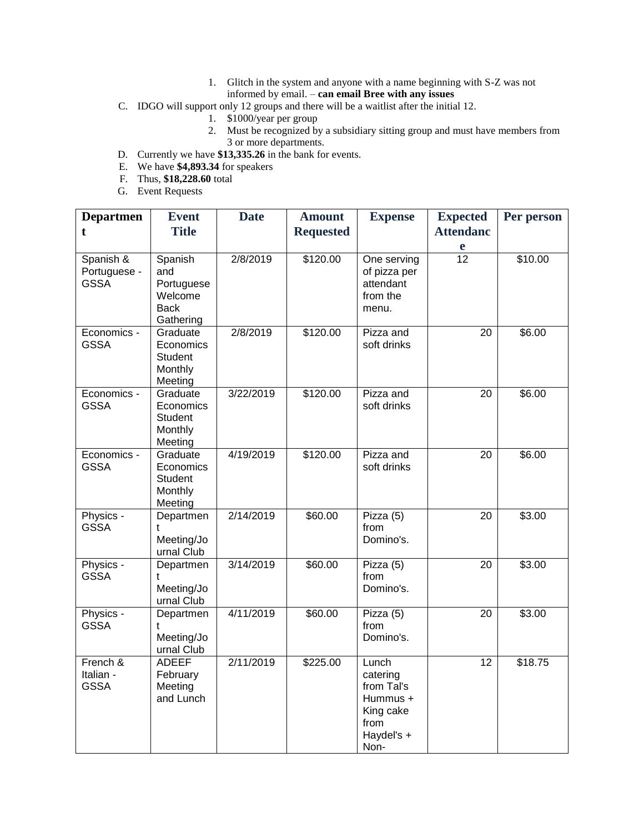- 1. Glitch in the system and anyone with a name beginning with S-Z was not informed by email. – **can email Bree with any issues**
- C. IDGO will support only 12 groups and there will be a waitlist after the initial 12.
	- 1. \$1000/year per group
	- 2. Must be recognized by a subsidiary sitting group and must have members from 3 or more departments.
- D. Currently we have **\$13,335.26** in the bank for events.
- E. We have **\$4,893.34** for speakers
- F. Thus, **\$18,228.60** total
- G. Event Requests

| <b>Departmen</b><br>t                    | <b>Event</b><br><b>Title</b>                                        | <b>Date</b> | <b>Amount</b><br><b>Requested</b> | <b>Expense</b>                                                                         | <b>Expected</b><br><b>Attendanc</b><br>e | Per person |
|------------------------------------------|---------------------------------------------------------------------|-------------|-----------------------------------|----------------------------------------------------------------------------------------|------------------------------------------|------------|
| Spanish &<br>Portuguese -<br><b>GSSA</b> | Spanish<br>and<br>Portuguese<br>Welcome<br><b>Back</b><br>Gathering | 2/8/2019    | \$120.00                          | One serving<br>of pizza per<br>attendant<br>from the<br>menu.                          | $\overline{12}$                          | \$10.00    |
| Economics -<br><b>GSSA</b>               | Graduate<br>Economics<br>Student<br>Monthly<br>Meeting              | 2/8/2019    | \$120.00                          | Pizza and<br>soft drinks                                                               | 20                                       | \$6.00     |
| Economics -<br><b>GSSA</b>               | Graduate<br>Economics<br>Student<br>Monthly<br>Meeting              | 3/22/2019   | \$120.00                          | Pizza and<br>soft drinks                                                               | 20                                       | \$6.00     |
| Economics -<br><b>GSSA</b>               | Graduate<br>Economics<br><b>Student</b><br>Monthly<br>Meeting       | 4/19/2019   | \$120.00                          | Pizza and<br>soft drinks                                                               | 20                                       | \$6.00     |
| Physics -<br><b>GSSA</b>                 | Departmen<br>t<br>Meeting/Jo<br>urnal Club                          | 2/14/2019   | \$60.00                           | Pizza (5)<br>from<br>Domino's.                                                         | 20                                       | \$3.00     |
| Physics -<br><b>GSSA</b>                 | Departmen<br>Meeting/Jo<br>urnal Club                               | 3/14/2019   | \$60.00                           | Pizza (5)<br>from<br>Domino's.                                                         | 20                                       | \$3.00     |
| Physics -<br><b>GSSA</b>                 | Departmen<br>t<br>Meeting/Jo<br>urnal Club                          | 4/11/2019   | \$60.00                           | Pizza (5)<br>from<br>Domino's.                                                         | 20                                       | \$3.00     |
| French &<br>Italian -<br><b>GSSA</b>     | <b>ADEEF</b><br>February<br>Meeting<br>and Lunch                    | 2/11/2019   | \$225.00                          | Lunch<br>catering<br>from Tal's<br>Hummus +<br>King cake<br>from<br>Haydel's +<br>Non- | 12                                       | \$18.75    |